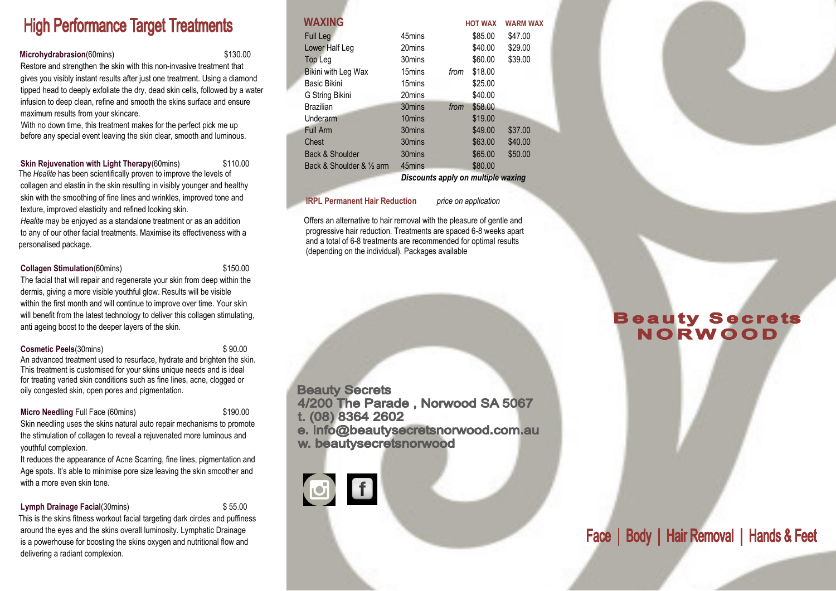# **High Performance Target Treatments**

**Microhydrabrasion**(60mins) \$130.00

 Restore and strengthen the skin with this non-invasive treatment that gives you visibly instant results after just one treatment. Using a diamond tipped head to deeply exfoliate the dry, dead skin cells, followed by a water infusion to deep clean, refine and smooth the skins surface and ensure maximum results from your skincare.

 With no down time, this treatment makes for the perfect pick me up before any special event leaving the skin clear, smooth and luminous.

**Skin Reiuvenation with Light Therapy**(60mins) \$110.00 The *Healite* has been scientifically proven to improve the levels of collagen and elastin in the skin resulting in visibly younger and healthy skin with the smoothing of fine lines and wrinkles, improved tone and texture, improved elasticity and refined looking skin.

 *Healite* may be enjoyed as a standalone treatment or as an addition to any of our other facial treatments. Maximise its effectiveness with a personalised package.

#### **Collagen Stimulation**(60mins) \$150.00

The facial that will repair and regenerate your skin from deep within the

 dermis, giving a more visible youthful glow. Results will be visible within the first month and will continue to improve over time. Your skin will benefit from the latest technology to deliver this collagen stimulating, anti ageing boost to the deeper layers of the skin.

**Cosmetic Peels**(30mins) \$90.00

An advanced treatment used to resurface, hydrate and brighten the skin. This treatment is customised for your skins unique needs and is ideal for treating varied skin conditions such as fine lines, acne, clogged or oily congested skin, open pores and pigmentation.

#### **Micro Needling Full Face (60mins) \$190.00**

 Skin needling uses the skins natural auto repair mechanisms to promote the stimulation of collagen to reveal a rejuvenated more luminous and youthful complexion.

 It reduces the appearance of Acne Scarring, fine lines, pigmentation and Age spots. It's able to minimise pore size leaving the skin smoother and with a more even skin tone.

#### **Lymph Drainage Facial**(30mins) \$55.00

 This is the skins fitness workout facial targeting dark circles and puffiness around the eyes and the skins overall luminosity. Lymphatic Drainage is a powerhouse for boosting the skins oxygen and nutritional flow and delivering a radiant complexion.

| <b>WAXING</b>                         |        |      | <b>HOT WAX</b> | <b>WARM WAX</b> |
|---------------------------------------|--------|------|----------------|-----------------|
| <b>Full Leg</b>                       | 45mins |      | \$85.00        | \$47.00         |
| Lower Half Leg                        | 20mins |      | \$40.00        | \$29.00         |
| Top Leg                               | 30mins |      | \$60.00        | \$39.00         |
| Bikini with Leg Wax                   | 15mins | from | \$18.00        |                 |
| <b>Basic Bikini</b>                   | 15mins |      | \$25.00        |                 |
| G String Bikini                       | 20mins |      | \$40.00        |                 |
| <b>Brazilian</b>                      | 30mins | from | \$58.00        |                 |
| Underarm                              | 10mins |      | \$19.00        |                 |
| <b>Full Arm</b>                       | 30mins |      | \$49.00        | \$37.00         |
| <b>Chest</b>                          | 30mins |      | \$63.00        | \$40.00         |
| Back & Shoulder                       | 30mins |      | \$65.00        | \$50.00         |
| Back & Shoulder & 1/ <sub>2</sub> arm | 45mins |      | \$80.00        |                 |

*Discounts apply on multiple waxing*

#### **IRPL Permanent Hair Reduction** *price on application*

Offers an alternative to hair removal with the pleasure of gentle and progressive hair reduction. Treatments are spaced 6-8 weeks apart and a total of 6-8 treatments are recommended for optimal results (depending on the individual). Packages available

**Beauty Secrets** 4/200 The Parade, Norwood SA 5067 t. (08) 8364 2602 e. info@beautysecretsnorwood.com.au w. beautysecretsnorwood



# **Beauty Secrets NORWOOD**

Face | Body | Hair Removal | Hands & Feet